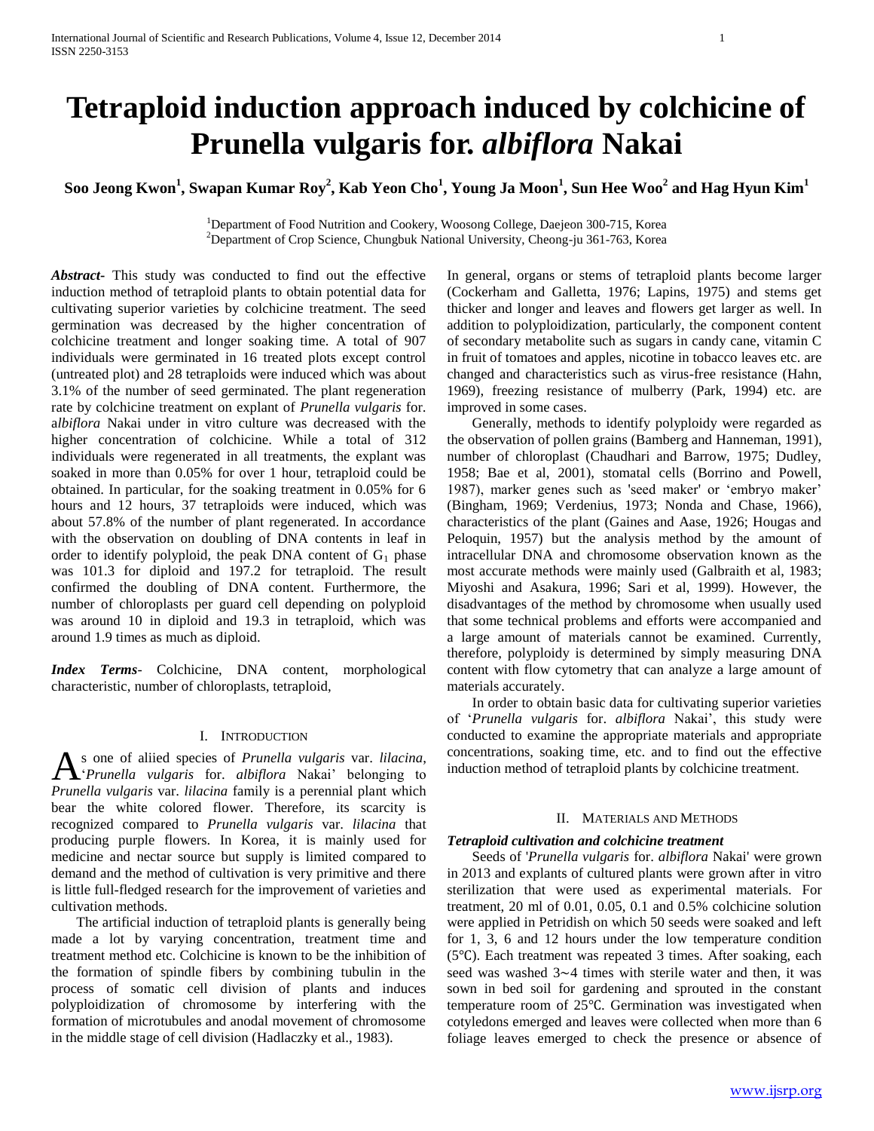# **Tetraploid induction approach induced by colchicine of Prunella vulgaris for.** *albiflora* **Nakai**

**Soo Jeong Kwon<sup>1</sup> , Swapan Kumar Roy<sup>2</sup> , Kab Yeon Cho<sup>1</sup> , Young Ja Moon<sup>1</sup> , Sun Hee Woo<sup>2</sup> and Hag Hyun Kim<sup>1</sup>**

<sup>1</sup>Department of Food Nutrition and Cookery, Woosong College, Daejeon 300-715, Korea <sup>2</sup>Department of Crop Science, Chungbuk National University, Cheong-ju 361-763, Korea

*Abstract***-** This study was conducted to find out the effective induction method of tetraploid plants to obtain potential data for cultivating superior varieties by colchicine treatment. The seed germination was decreased by the higher concentration of colchicine treatment and longer soaking time. A total of 907 individuals were germinated in 16 treated plots except control (untreated plot) and 28 tetraploids were induced which was about 3.1% of the number of seed germinated. The plant regeneration rate by colchicine treatment on explant of *Prunella vulgaris* for. a*lbiflora* Nakai under in vitro culture was decreased with the higher concentration of colchicine. While a total of 312 individuals were regenerated in all treatments, the explant was soaked in more than 0.05% for over 1 hour, tetraploid could be obtained. In particular, for the soaking treatment in 0.05% for 6 hours and 12 hours, 37 tetraploids were induced, which was about 57.8% of the number of plant regenerated. In accordance with the observation on doubling of DNA contents in leaf in order to identify polyploid, the peak DNA content of  $G_1$  phase was 101.3 for diploid and 197.2 for tetraploid. The result confirmed the doubling of DNA content. Furthermore, the number of chloroplasts per guard cell depending on polyploid was around 10 in diploid and 19.3 in tetraploid, which was around 1.9 times as much as diploid.

*Index Terms*- Colchicine, DNA content, morphological characteristic, number of chloroplasts, tetraploid,

#### I. INTRODUCTION

s one of aliied species of *Prunella vulgaris* var. *lilacina*, As one of aliied species of Prunella vulgaris var. *lilacina*, *Prunella vulgaris* for. *albiflora* Nakai' belonging to *Prunella vulgaris* var. *lilacina* family is a perennial plant which bear the white colored flower. Therefore, its scarcity is recognized compared to *Prunella vulgaris* var. *lilacina* that producing purple flowers. In Korea, it is mainly used for medicine and nectar source but supply is limited compared to demand and the method of cultivation is very primitive and there is little full-fledged research for the improvement of varieties and cultivation methods.

 The artificial induction of tetraploid plants is generally being made a lot by varying concentration, treatment time and treatment method etc. Colchicine is known to be the inhibition of the formation of spindle fibers by combining tubulin in the process of somatic cell division of plants and induces polyploidization of chromosome by interfering with the formation of microtubules and anodal movement of chromosome in the middle stage of cell division (Hadlaczky et al., 1983).

In general, organs or stems of tetraploid plants become larger (Cockerham and Galletta, 1976; Lapins, 1975) and stems get thicker and longer and leaves and flowers get larger as well. In addition to polyploidization, particularly, the component content of secondary metabolite such as sugars in candy cane, vitamin C in fruit of tomatoes and apples, nicotine in tobacco leaves etc. are changed and characteristics such as virus-free resistance (Hahn, 1969), freezing resistance of mulberry (Park, 1994) etc. are improved in some cases.

 Generally, methods to identify polyploidy were regarded as the observation of pollen grains (Bamberg and Hanneman, 1991), number of chloroplast (Chaudhari and Barrow, 1975; Dudley, 1958; Bae et al, 2001), stomatal cells (Borrino and Powell, 1987), marker genes such as 'seed maker' or 'embryo maker' (Bingham, 1969; Verdenius, 1973; Nonda and Chase, 1966), characteristics of the plant (Gaines and Aase, 1926; Hougas and Peloquin, 1957) but the analysis method by the amount of intracellular DNA and chromosome observation known as the most accurate methods were mainly used (Galbraith et al, 1983; Miyoshi and Asakura, 1996; Sari et al, 1999). However, the disadvantages of the method by chromosome when usually used that some technical problems and efforts were accompanied and a large amount of materials cannot be examined. Currently, therefore, polyploidy is determined by simply measuring DNA content with flow cytometry that can analyze a large amount of materials accurately.

 In order to obtain basic data for cultivating superior varieties of '*Prunella vulgaris* for. *albiflora* Nakai', this study were conducted to examine the appropriate materials and appropriate concentrations, soaking time, etc. and to find out the effective induction method of tetraploid plants by colchicine treatment.

## II. MATERIALS AND METHODS

## *Tetraploid cultivation and colchicine treatment*

 Seeds of '*Prunella vulgaris* for. *albiflora* Nakai' were grown in 2013 and explants of cultured plants were grown after in vitro sterilization that were used as experimental materials. For treatment, 20 ml of 0.01, 0.05, 0.1 and 0.5% colchicine solution were applied in Petridish on which 50 seeds were soaked and left for 1, 3, 6 and 12 hours under the low temperature condition (5℃). Each treatment was repeated 3 times. After soaking, each seed was washed 3∼4 times with sterile water and then, it was sown in bed soil for gardening and sprouted in the constant temperature room of 25℃. Germination was investigated when cotyledons emerged and leaves were collected when more than 6 foliage leaves emerged to check the presence or absence of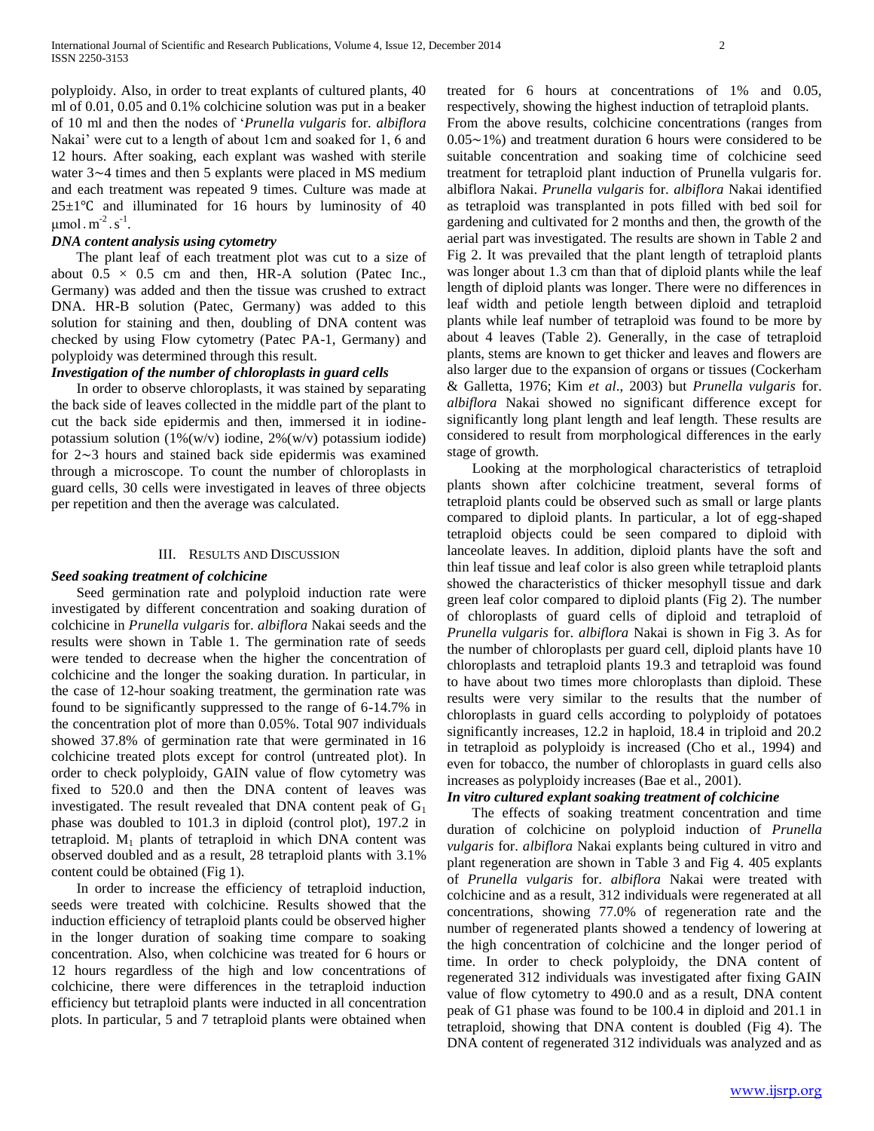polyploidy. Also, in order to treat explants of cultured plants, 40 ml of 0.01, 0.05 and 0.1% colchicine solution was put in a beaker of 10 ml and then the nodes of '*Prunella vulgaris* for. *albiflora* Nakai' were cut to a length of about 1cm and soaked for 1, 6 and 12 hours. After soaking, each explant was washed with sterile water 3∼4 times and then 5 explants were placed in MS medium and each treatment was repeated 9 times. Culture was made at  $25±1°C$  and illuminated for 16 hours by luminosity of 40  $\mu$ mol.m<sup>-2</sup>.s<sup>-1</sup>.

### *DNA content analysis using cytometry*

 The plant leaf of each treatment plot was cut to a size of about  $0.5 \times 0.5$  cm and then, HR-A solution (Patec Inc., Germany) was added and then the tissue was crushed to extract DNA. HR-B solution (Patec, Germany) was added to this solution for staining and then, doubling of DNA content was checked by using Flow cytometry (Patec PA-1, Germany) and polyploidy was determined through this result.

### *Investigation of the number of chloroplasts in guard cells*

 In order to observe chloroplasts, it was stained by separating the back side of leaves collected in the middle part of the plant to cut the back side epidermis and then, immersed it in iodinepotassium solution  $(1\%(w/v))$  iodine,  $2\%(w/v)$  potassium iodide) for 2∼3 hours and stained back side epidermis was examined through a microscope. To count the number of chloroplasts in guard cells, 30 cells were investigated in leaves of three objects per repetition and then the average was calculated.

#### III. RESULTS AND DISCUSSION

#### *Seed soaking treatment of colchicine*

 Seed germination rate and polyploid induction rate were investigated by different concentration and soaking duration of colchicine in *Prunella vulgaris* for. *albiflora* Nakai seeds and the results were shown in Table 1. The germination rate of seeds were tended to decrease when the higher the concentration of colchicine and the longer the soaking duration. In particular, in the case of 12-hour soaking treatment, the germination rate was found to be significantly suppressed to the range of 6-14.7% in the concentration plot of more than 0.05%. Total 907 individuals showed 37.8% of germination rate that were germinated in 16 colchicine treated plots except for control (untreated plot). In order to check polyploidy, GAIN value of flow cytometry was fixed to 520.0 and then the DNA content of leaves was investigated. The result revealed that DNA content peak of  $G_1$ phase was doubled to 101.3 in diploid (control plot), 197.2 in tetraploid.  $M_1$  plants of tetraploid in which DNA content was observed doubled and as a result, 28 tetraploid plants with 3.1% content could be obtained (Fig 1).

 In order to increase the efficiency of tetraploid induction, seeds were treated with colchicine. Results showed that the induction efficiency of tetraploid plants could be observed higher in the longer duration of soaking time compare to soaking concentration. Also, when colchicine was treated for 6 hours or 12 hours regardless of the high and low concentrations of colchicine, there were differences in the tetraploid induction efficiency but tetraploid plants were inducted in all concentration plots. In particular, 5 and 7 tetraploid plants were obtained when

treated for 6 hours at concentrations of 1% and 0.05, respectively, showing the highest induction of tetraploid plants. From the above results, colchicine concentrations (ranges from 0.05∼1%) and treatment duration 6 hours were considered to be suitable concentration and soaking time of colchicine seed treatment for tetraploid plant induction of Prunella vulgaris for. albiflora Nakai. *Prunella vulgaris* for. *albiflora* Nakai identified as tetraploid was transplanted in pots filled with bed soil for gardening and cultivated for 2 months and then, the growth of the aerial part was investigated. The results are shown in Table 2 and Fig 2. It was prevailed that the plant length of tetraploid plants was longer about 1.3 cm than that of diploid plants while the leaf length of diploid plants was longer. There were no differences in leaf width and petiole length between diploid and tetraploid plants while leaf number of tetraploid was found to be more by about 4 leaves (Table 2). Generally, in the case of tetraploid plants, stems are known to get thicker and leaves and flowers are also larger due to the expansion of organs or tissues (Cockerham & Galletta, 1976; Kim *et al*., 2003) but *Prunella vulgaris* for. *albiflora* Nakai showed no significant difference except for significantly long plant length and leaf length. These results are considered to result from morphological differences in the early stage of growth.

 Looking at the morphological characteristics of tetraploid plants shown after colchicine treatment, several forms of tetraploid plants could be observed such as small or large plants compared to diploid plants. In particular, a lot of egg-shaped tetraploid objects could be seen compared to diploid with lanceolate leaves. In addition, diploid plants have the soft and thin leaf tissue and leaf color is also green while tetraploid plants showed the characteristics of thicker mesophyll tissue and dark green leaf color compared to diploid plants (Fig 2). The number of chloroplasts of guard cells of diploid and tetraploid of *Prunella vulgaris* for. *albiflora* Nakai is shown in Fig 3. As for the number of chloroplasts per guard cell, diploid plants have 10 chloroplasts and tetraploid plants 19.3 and tetraploid was found to have about two times more chloroplasts than diploid. These results were very similar to the results that the number of chloroplasts in guard cells according to polyploidy of potatoes significantly increases, 12.2 in haploid, 18.4 in triploid and 20.2 in tetraploid as polyploidy is increased (Cho et al., 1994) and even for tobacco, the number of chloroplasts in guard cells also increases as polyploidy increases (Bae et al., 2001).

#### *In vitro cultured explant soaking treatment of colchicine*

 The effects of soaking treatment concentration and time duration of colchicine on polyploid induction of *Prunella vulgaris* for. *albiflora* Nakai explants being cultured in vitro and plant regeneration are shown in Table 3 and Fig 4. 405 explants of *Prunella vulgaris* for. *albiflora* Nakai were treated with colchicine and as a result, 312 individuals were regenerated at all concentrations, showing 77.0% of regeneration rate and the number of regenerated plants showed a tendency of lowering at the high concentration of colchicine and the longer period of time. In order to check polyploidy, the DNA content of regenerated 312 individuals was investigated after fixing GAIN value of flow cytometry to 490.0 and as a result, DNA content peak of G1 phase was found to be 100.4 in diploid and 201.1 in tetraploid, showing that DNA content is doubled (Fig 4). The DNA content of regenerated 312 individuals was analyzed and as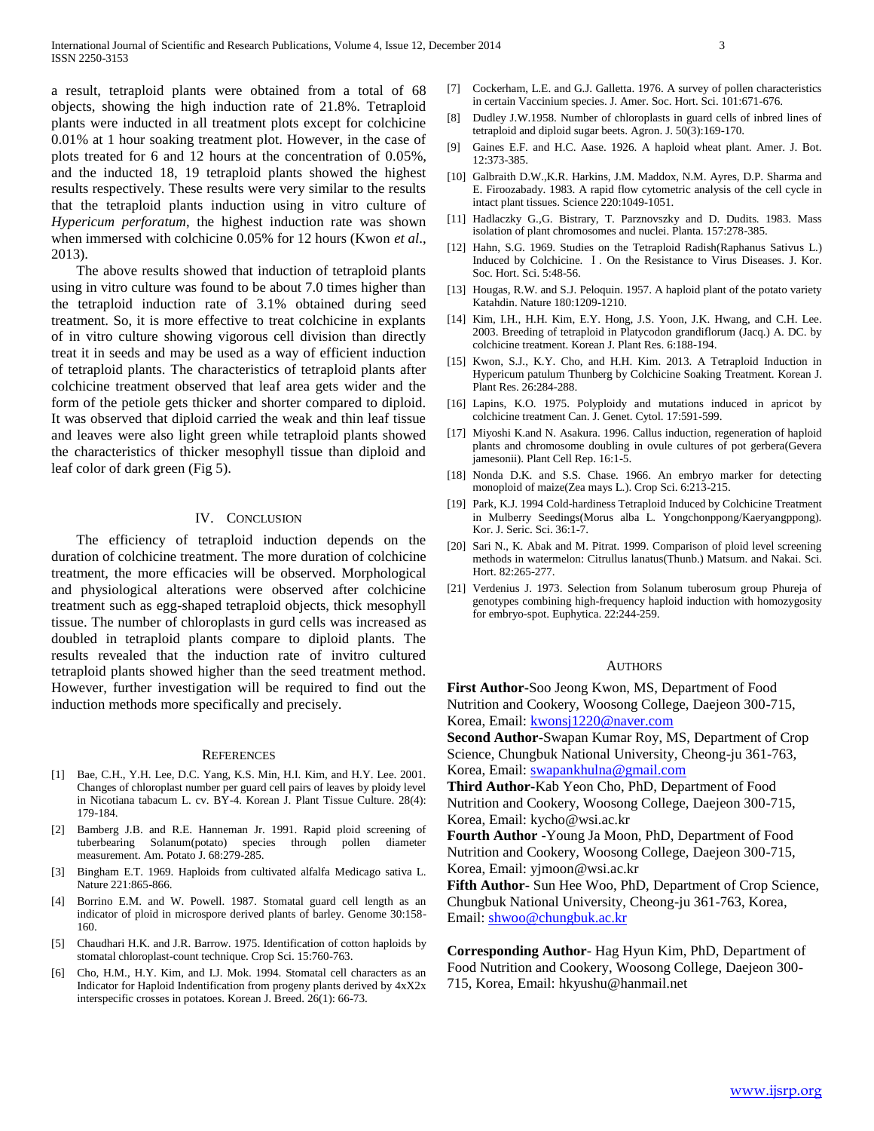a result, tetraploid plants were obtained from a total of 68 objects, showing the high induction rate of 21.8%. Tetraploid plants were inducted in all treatment plots except for colchicine 0.01% at 1 hour soaking treatment plot. However, in the case of plots treated for 6 and 12 hours at the concentration of 0.05%, and the inducted 18, 19 tetraploid plants showed the highest results respectively. These results were very similar to the results that the tetraploid plants induction using in vitro culture of *Hypericum perforatum*, the highest induction rate was shown when immersed with colchicine 0.05% for 12 hours (Kwon *et al*., 2013).

 The above results showed that induction of tetraploid plants using in vitro culture was found to be about 7.0 times higher than the tetraploid induction rate of 3.1% obtained during seed treatment. So, it is more effective to treat colchicine in explants of in vitro culture showing vigorous cell division than directly treat it in seeds and may be used as a way of efficient induction of tetraploid plants. The characteristics of tetraploid plants after colchicine treatment observed that leaf area gets wider and the form of the petiole gets thicker and shorter compared to diploid. It was observed that diploid carried the weak and thin leaf tissue and leaves were also light green while tetraploid plants showed the characteristics of thicker mesophyll tissue than diploid and leaf color of dark green (Fig 5).

### IV. CONCLUSION

 The efficiency of tetraploid induction depends on the duration of colchicine treatment. The more duration of colchicine treatment, the more efficacies will be observed. Morphological and physiological alterations were observed after colchicine treatment such as egg-shaped tetraploid objects, thick mesophyll tissue. The number of chloroplasts in gurd cells was increased as doubled in tetraploid plants compare to diploid plants. The results revealed that the induction rate of invitro cultured tetraploid plants showed higher than the seed treatment method. However, further investigation will be required to find out the induction methods more specifically and precisely.

#### **REFERENCES**

- [1] Bae, C.H., Y.H. Lee, D.C. Yang, K.S. Min, H.I. Kim, and H.Y. Lee. 2001. Changes of chloroplast number per guard cell pairs of leaves by ploidy level in Nicotiana tabacum L. cv. BY-4. Korean J. Plant Tissue Culture. 28(4): 179-184.
- [2] Bamberg J.B. and R.E. Hanneman Jr. 1991. Rapid ploid screening of tuberbearing Solanum(potato) species through pollen diameter measurement. Am. Potato J. 68:279-285.
- [3] Bingham E.T. 1969. Haploids from cultivated alfalfa Medicago sativa L. Nature 221:865-866.
- [4] Borrino E.M. and W. Powell. 1987. Stomatal guard cell length as an indicator of ploid in microspore derived plants of barley. Genome 30:158- 160.
- [5] Chaudhari H.K. and J.R. Barrow. 1975. Identification of cotton haploids by stomatal chloroplast-count technique. Crop Sci. 15:760-763.
- [6] Cho, H.M., H.Y. Kim, and I.J. Mok. 1994. Stomatal cell characters as an Indicator for Haploid Indentification from progeny plants derived by 4xX2x interspecific crosses in potatoes. Korean J. Breed. 26(1): 66-73.
- [7] Cockerham, L.E. and G.J. Galletta. 1976. A survey of pollen characteristics in certain Vaccinium species. J. Amer. Soc. Hort. Sci. 101:671-676.
- [8] Dudley J.W.1958. Number of chloroplasts in guard cells of inbred lines of tetraploid and diploid sugar beets. Agron. J. 50(3):169-170.
- [9] Gaines E.F. and H.C. Aase. 1926. A haploid wheat plant. Amer. J. Bot. 12:373-385.
- [10] Galbraith D.W., K.R. Harkins, J.M. Maddox, N.M. Ayres, D.P. Sharma and E. Firoozabady. 1983. A rapid flow cytometric analysis of the cell cycle in intact plant tissues. Science 220:1049-1051.
- [11] Hadlaczky G., G. Bistrary, T. Parznovszky and D. Dudits. 1983. Mass isolation of plant chromosomes and nuclei. Planta. 157:278-385.
- [12] Hahn, S.G. 1969. Studies on the Tetraploid Radish(Raphanus Sativus L.) Induced by Colchicine. Ⅰ. On the Resistance to Virus Diseases. J. Kor. Soc. Hort. Sci. 5:48-56.
- [13] Hougas, R.W. and S.J. Peloquin. 1957. A haploid plant of the potato variety Katahdin. Nature 180:1209-1210.
- [14] Kim, I.H., H.H. Kim, E.Y. Hong, J.S. Yoon, J.K. Hwang, and C.H. Lee. 2003. Breeding of tetraploid in Platycodon grandiflorum (Jacq.) A. DC. by colchicine treatment. Korean J. Plant Res. 6:188-194.
- [15] Kwon, S.J., K.Y. Cho, and H.H. Kim. 2013. A Tetraploid Induction in Hypericum patulum Thunberg by Colchicine Soaking Treatment. Korean J. Plant Res. 26:284-288.
- [16] Lapins, K.O. 1975. Polyploidy and mutations induced in apricot by colchicine treatment Can. J. Genet. Cytol. 17:591-599.
- [17] Miyoshi K.and N. Asakura. 1996. Callus induction, regeneration of haploid plants and chromosome doubling in ovule cultures of pot gerbera(Gevera jamesonii). Plant Cell Rep. 16:1-5.
- [18] Nonda D.K. and S.S. Chase. 1966. An embryo marker for detecting monoploid of maize(Zea mays L.). Crop Sci. 6:213-215.
- [19] Park, K.J. 1994 Cold-hardiness Tetraploid Induced by Colchicine Treatment in Mulberry Seedings(Morus alba L. Yongchonppong/Kaeryangppong). Kor. J. Seric. Sci. 36:1-7.
- [20] Sari N., K. Abak and M. Pitrat. 1999. Comparison of ploid level screening methods in watermelon: Citrullus lanatus(Thunb.) Matsum. and Nakai. Sci. Hort. 82:265-277.
- [21] Verdenius J. 1973. Selection from Solanum tuberosum group Phureja of genotypes combining high-frequency haploid induction with homozygosity for embryo-spot. Euphytica. 22:244-259.

#### AUTHORS

**First Author-**Soo Jeong Kwon, MS, Department of Food Nutrition and Cookery, Woosong College, Daejeon 300-715, Korea, Email: **kwonsj1220@naver.com** 

**Second Author**-Swapan Kumar Roy, MS, Department of Crop Science, Chungbuk National University, Cheong-ju 361-763, Korea, Email: [swapankhulna@gmail.com](mailto:swapankhulna@gmail.com)

**Third Author-**Kab Yeon Cho, PhD, Department of Food Nutrition and Cookery, Woosong College, Daejeon 300-715, Korea, Email: kycho@wsi.ac.kr

**Fourth Author** -Young Ja Moon, PhD, Department of Food Nutrition and Cookery, Woosong College, Daejeon 300-715, Korea, Email: yjmoon@wsi.ac.kr

**Fifth Author**- Sun Hee Woo, PhD, Department of Crop Science, Chungbuk National University, Cheong-ju 361-763, Korea, Email: [shwoo@chungbuk.ac.kr](mailto:shwoo@chungbuk.ac.kr)

**Corresponding Author**- Hag Hyun Kim, PhD, Department of Food Nutrition and Cookery, Woosong College, Daejeon 300- 715, Korea, Email: hkyushu@hanmail.net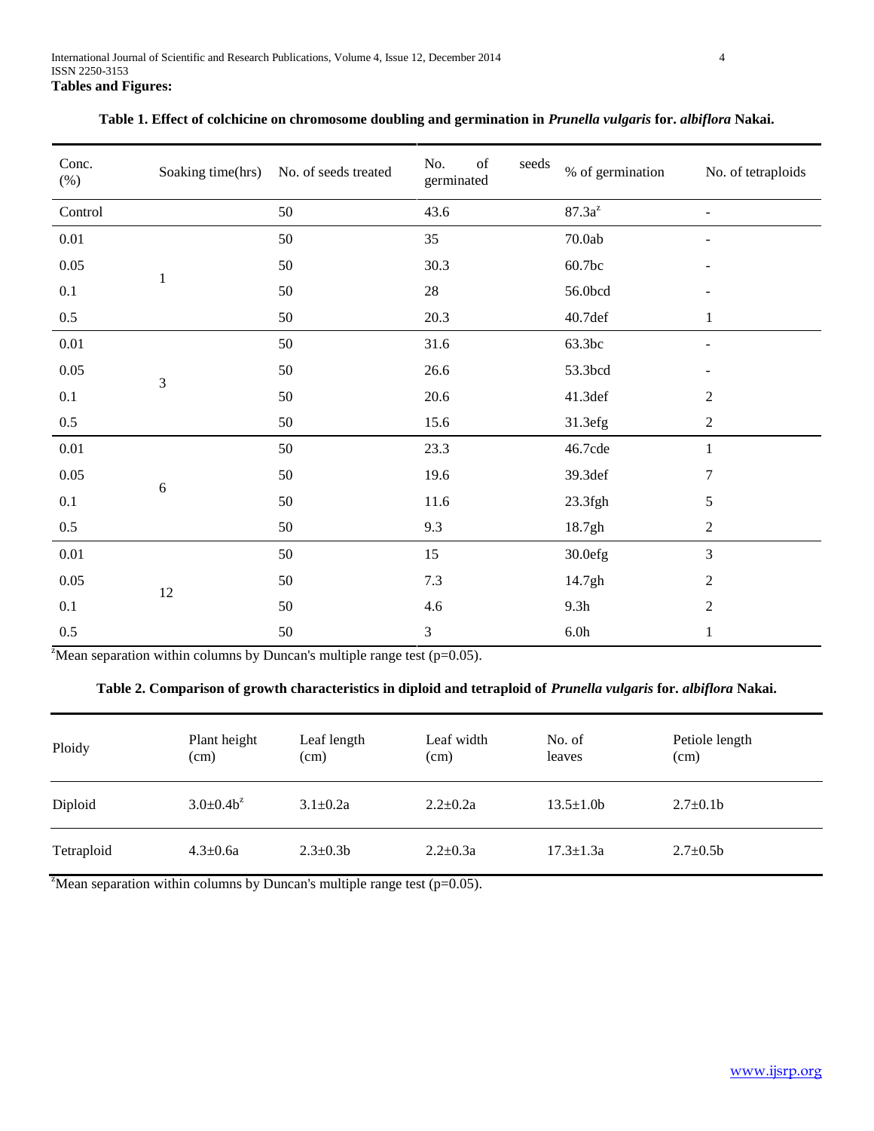| Conc.<br>$(\%)$ | Soaking time(hrs) | No. of seeds treated | $% \left( \left( \mathcal{A},\mathcal{A}\right) \right) =\left( \mathcal{A},\mathcal{A}\right)$ of<br>No.<br>seeds<br>germinated | % of germination | No. of tetraploids |
|-----------------|-------------------|----------------------|----------------------------------------------------------------------------------------------------------------------------------|------------------|--------------------|
| Control         |                   | 50                   | 43.6                                                                                                                             | $87.3a^z$        |                    |
| $0.01\,$        |                   | 50                   | 35                                                                                                                               | $70.0ab$         |                    |
| $0.05\,$        |                   | 50                   | 30.3                                                                                                                             | 60.7bc           |                    |
| 0.1             | $\mathbf{1}$      | 50                   | $28\,$                                                                                                                           | 56.0bcd          |                    |
| $0.5\,$         |                   | 50                   | 20.3                                                                                                                             | 40.7def          | 1                  |
| $0.01\,$        |                   | 50                   | $31.6\,$                                                                                                                         | 63.3bc           |                    |
| $0.05\,$        |                   | 50                   | 26.6                                                                                                                             | 53.3bcd          |                    |
| 0.1             | $\overline{3}$    | 50                   | 20.6                                                                                                                             | 41.3def          | $\boldsymbol{2}$   |
| $0.5\,$         |                   | 50                   | 15.6                                                                                                                             | 31.3efg          | $\overline{c}$     |
| $0.01\,$        |                   | 50                   | 23.3                                                                                                                             | 46.7cde          | $\mathbf{1}$       |
| 0.05            |                   | 50                   | 19.6                                                                                                                             | 39.3def          | 7                  |
| 0.1             | 6                 | 50                   | 11.6                                                                                                                             | $23.3$ fgh       | 5                  |
| $0.5\,$         |                   | 50                   | 9.3                                                                                                                              | 18.7gh           | $\boldsymbol{2}$   |
| $0.01\,$        |                   | 50                   | 15                                                                                                                               | 30.0efg          | 3                  |
| 0.05            | $12\,$            | 50                   | 7.3                                                                                                                              | 14.7gh           | $\boldsymbol{2}$   |
| 0.1             |                   | 50                   | 4.6                                                                                                                              | 9.3h             | $\overline{c}$     |
| 0.5             |                   | 50                   | 3                                                                                                                                | $6.0h$           | 1                  |

| Table 1. Effect of colchicine on chromosome doubling and germination in Prunella vulgaris for. albiflora Nakai. |  |  |
|-----------------------------------------------------------------------------------------------------------------|--|--|
|-----------------------------------------------------------------------------------------------------------------|--|--|

<sup>z</sup>Mean separation within columns by Duncan's multiple range test ( $p=0.05$ ).

# **Table 2. Comparison of growth characteristics in diploid and tetraploid of** *Prunella vulgaris* **for.** *albiflora* **Nakai.**

| Ploidy     | Plant height<br>(cm) | Leaf length<br>(cm) | Leaf width<br>(cm) | No. of<br>leaves | Petiole length<br>(cm) |
|------------|----------------------|---------------------|--------------------|------------------|------------------------|
| Diploid    | $3.0 \pm 0.4 b^2$    | $3.1 \pm 0.2a$      | $2.2+0.2a$         | $13.5 \pm 1.0$ b | $2.7 \pm 0.1$ b        |
| Tetraploid | $4.3 \pm 0.6a$       | $2.3 \pm 0.3 b$     | $2.2 \pm 0.3a$     | $17.3 \pm 1.3a$  | $2.7 \pm 0.5 b$        |

<sup>z</sup>Mean separation within columns by Duncan's multiple range test (p=0.05).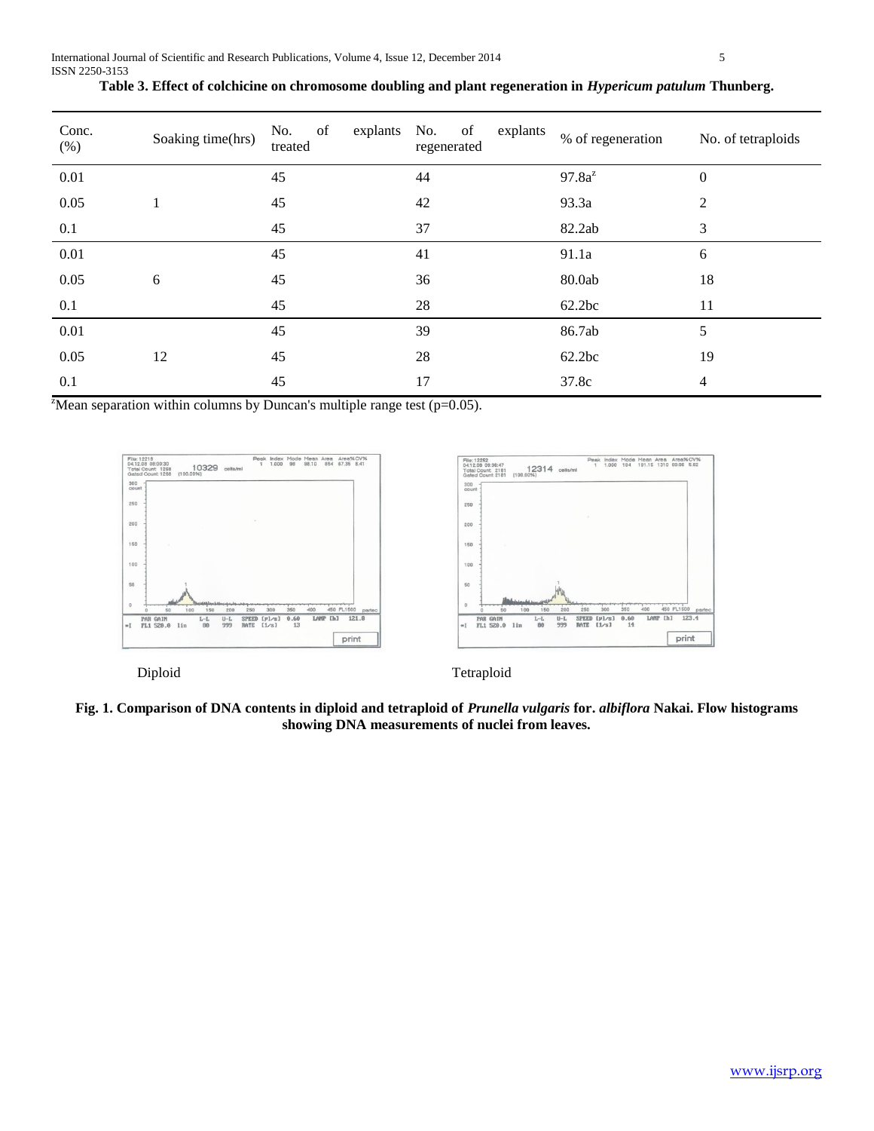| Conc.<br>(% ) | Soaking time(hrs) | of<br>No.<br>treated | explants No. of<br>explants<br>regenerated | % of regeneration | No. of tetraploids |
|---------------|-------------------|----------------------|--------------------------------------------|-------------------|--------------------|
| 0.01          |                   | 45                   | 44                                         | $97.8a^z$         | $\theta$           |
| 0.05          |                   | 45                   | 42                                         | 93.3a             | 2                  |
| 0.1           |                   | 45                   | 37                                         | 82.2ab            | 3                  |
| 0.01          |                   | 45                   | 41                                         | 91.1a             | 6                  |
| 0.05          | 6                 | 45                   | 36                                         | 80.0ab            | 18                 |
| 0.1           |                   | 45                   | 28                                         | 62.2bc            | 11                 |
| 0.01          |                   | 45                   | 39                                         | 86.7ab            | 5                  |
| 0.05          | 12                | 45                   | 28                                         | 62.2bc            | 19                 |
| 0.1           |                   | 45                   | 17                                         | 37.8c             | 4                  |

| Table 3. Effect of colchicine on chromosome doubling and plant regeneration in <i>Hypericum patulum</i> Thunberg. |  |  |  |  |
|-------------------------------------------------------------------------------------------------------------------|--|--|--|--|
|-------------------------------------------------------------------------------------------------------------------|--|--|--|--|

<sup>z</sup>Mean separation within columns by Duncan's multiple range test (p=0.05).





Diploid Tetraploid

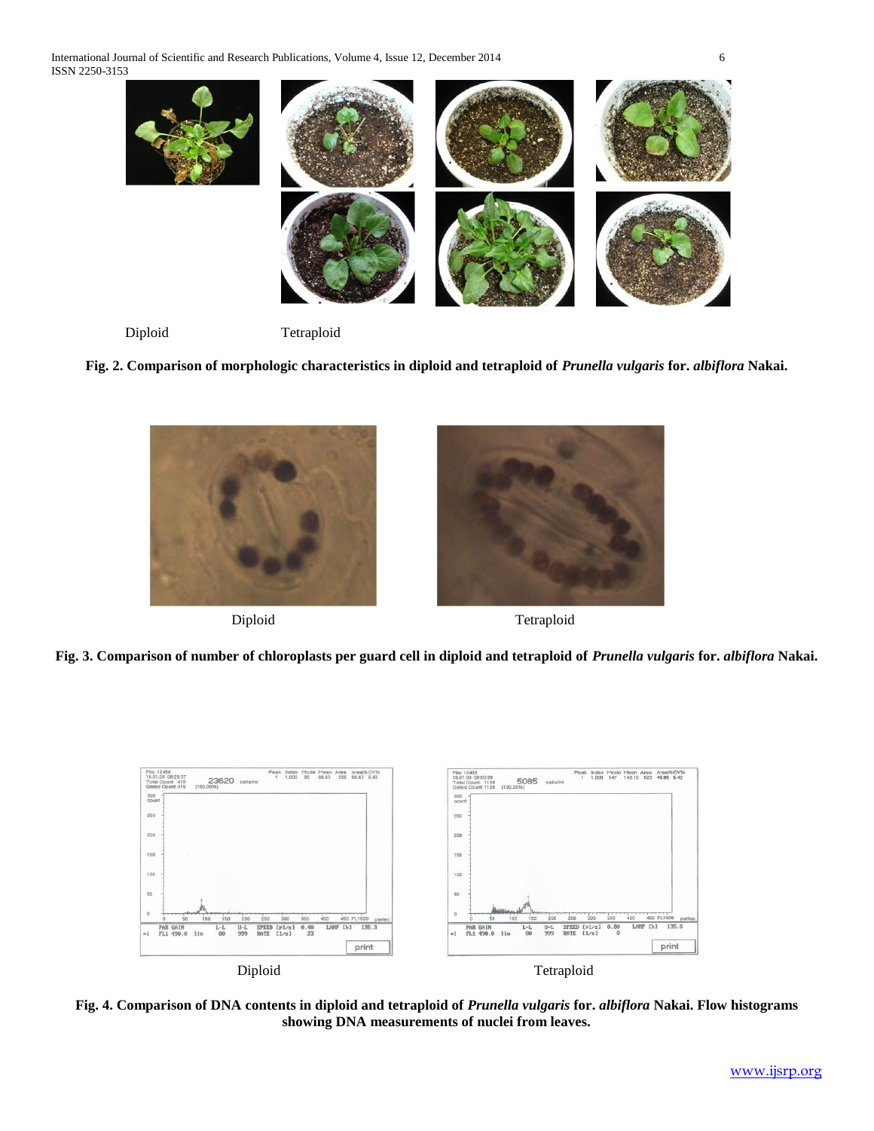International Journal of Scientific and Research Publications, Volume 4, Issue 12, December 2014 6 ISSN 2250-3153



Diploid Tetraploid

**Fig. 2. Comparison of morphologic characteristics in diploid and tetraploid of** *Prunella vulgaris* **for.** *albiflora* **Nakai.**





Diploid Tetraploid

**Fig. 3. Comparison of number of chloroplasts per guard cell in diploid and tetraploid of** *Prunella vulgaris* **for.** *albiflora* **Nakai.**



**Fig. 4. Comparison of DNA contents in diploid and tetraploid of** *Prunella vulgaris* **for.** *albiflora* **Nakai. Flow histograms showing DNA measurements of nuclei from leaves.**